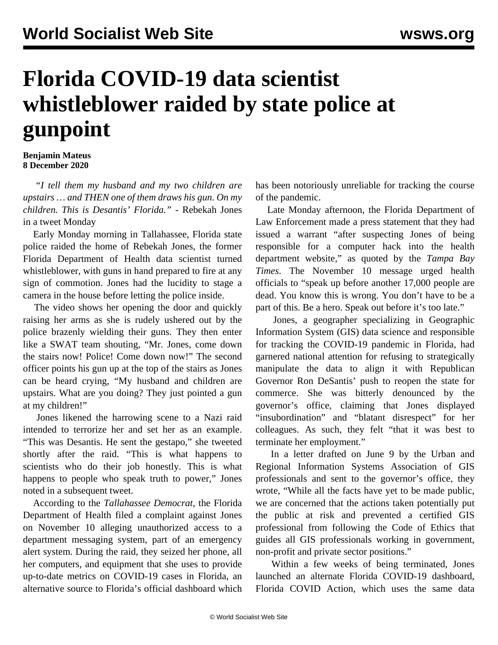## **Florida COVID-19 data scientist whistleblower raided by state police at gunpoint**

## **Benjamin Mateus 8 December 2020**

 *"I tell them my husband and my two children are upstairs … and THEN one of them draws his gun. On my children. This is Desantis' Florida." -* Rebekah Jones in a [tweet](https://twitter.com/GeoRebekah/status/1336066309482754049?s=20) Monday

 Early Monday morning in Tallahassee, Florida state police raided the home of Rebekah Jones, the former Florida Department of Health data scientist turned whistleblower, with guns in hand prepared to fire at any sign of commotion. Jones had the lucidity to stage a [camera](https://twitter.com/GeoRebekah/status/1336065787900145665) in the house before letting the police inside.

 The video shows her opening the door and quickly raising her arms as she is rudely ushered out by the police brazenly wielding their guns. They then enter like a SWAT team shouting, "Mr. Jones, come down the stairs now! Police! Come down now!" The second officer points his gun up at the top of the stairs as Jones can be heard crying, "My husband and children are upstairs. What are you doing? They just pointed a gun at my children!"

 Jones likened the harrowing scene to a Nazi raid intended to terrorize her and set her as an example. "This was Desantis. He sent the gestapo," she tweeted shortly after the raid. "This is what happens to scientists who do their job honestly. This is what happens to people who speak truth to power," Jones noted in a subsequent tweet.

 According to the *Tallahassee Democrat*, the Florida Department of Health filed a complaint against Jones on November 10 alleging unauthorized access to a department messaging system, part of an emergency alert system. During the raid, they seized her phone, all her computers, and equipment that she uses to provide up-to-date metrics on COVID-19 cases in Florida, an alternative source to Florida's official dashboard which

has been notoriously unreliable for tracking the course of the pandemic.

 Late Monday afternoon, the Florida Department of Law Enforcement made a press statement that they had issued a warrant "after suspecting Jones of being responsible for a computer hack into the health department website," as quoted by the *Tampa Bay Times*. The November 10 message urged health officials to "speak up before another 17,000 people are dead. You know this is wrong. You don't have to be a part of this. Be a hero. Speak out before it's too late."

 Jones, a geographer specializing in Geographic Information System (GIS) data science and responsible for tracking the COVID-19 pandemic in Florida, had garnered national attention for refusing to strategically manipulate the data to align it with Republican Governor Ron DeSantis' push to reopen the state for commerce. She was bitterly denounced by the governor's office, claiming that Jones displayed "insubordination" and "blatant disrespect" for her colleagues. As such, they felt "that it was best to terminate her employment."

 In a letter drafted on June 9 by the Urban and Regional Information Systems Association of GIS professionals and sent to the governor's office, they wrote, "While all the facts have yet to be made public, we are concerned that the actions taken potentially put the public at risk and prevented a certified GIS professional from following the Code of Ethics that guides all GIS professionals working in government, non-profit and private sector positions."

 Within a few weeks of being terminated, Jones launched an alternate Florida COVID-19 dashboard, [Florida COVID Action](https://floridacovidaction.com/), which uses the same data